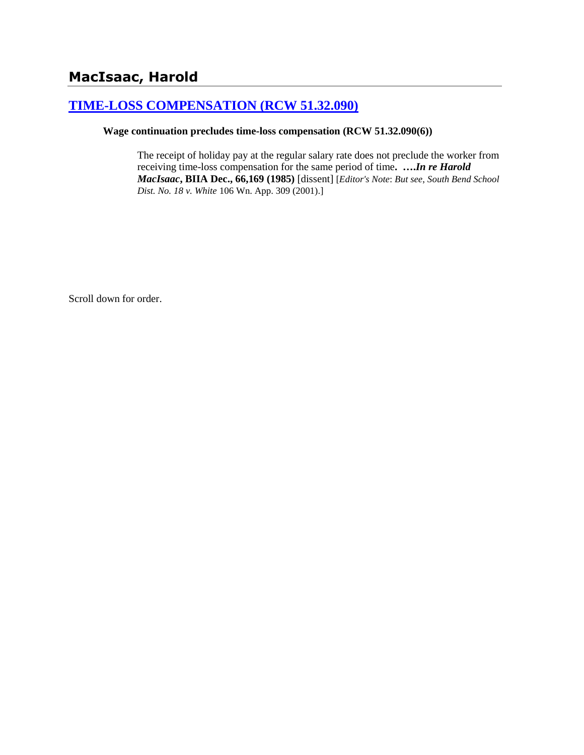# **[TIME-LOSS COMPENSATION \(RCW 51.32.090\)](http://www.biia.wa.gov/SDSubjectIndex.html#TIME_LOSS_COMPENSATION)**

# **Wage continuation precludes time-loss compensation (RCW 51.32.090(6))**

The receipt of holiday pay at the regular salary rate does not preclude the worker from receiving time-loss compensation for the same period of time**. ….***In re Harold MacIsaac***, BIIA Dec., 66,169 (1985)** [dissent] [*Editor's Note*: *But see*, *South Bend School Dist. No. 18 v. White* 106 Wn. App. 309 (2001).]

Scroll down for order.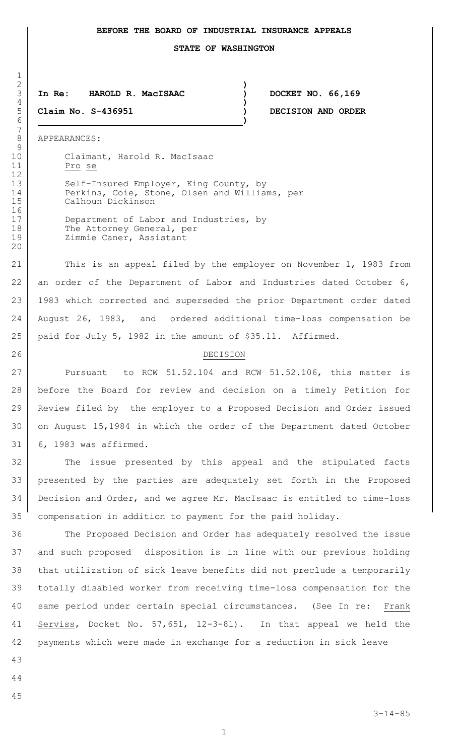## **BEFORE THE BOARD OF INDUSTRIAL INSURANCE APPEALS**

**STATE OF WASHINGTON**

#### **In Re: HAROLD R. MacISAAC ) DOCKET NO. 66,169 )**

**Claim No. S-436951 ) DECISION AND ORDER**

APPEARANCES:

 $\frac{1}{2}$ 

10 Claimant, Harold R. MacIsaac Pro se

**)**

**)**

13 Self-Insured Employer, King County, by 14 Perkins, Coie, Stone, Olsen and Williams, per Calhoun Dickinson

17 Department of Labor and Industries, by 18 The Attorney General, per 19 | Zimmie Caner, Assistant

21 This is an appeal filed by the employer on November 1, 1983 from 22 an order of the Department of Labor and Industries dated October 6, 1983 which corrected and superseded the prior Department order dated August 26, 1983, and ordered additional time-loss compensation be paid for July 5, 1982 in the amount of \$35.11. Affirmed.

## 26 DECISION

**Pursuant** to RCW 51.52.104 and RCW 51.52.106, this matter is before the Board for review and decision on a timely Petition for Review filed by the employer to a Proposed Decision and Order issued on August 15,1984 in which the order of the Department dated October 6, 1983 was affirmed.

32 The issue presented by this appeal and the stipulated facts presented by the parties are adequately set forth in the Proposed Decision and Order, and we agree Mr. MacIsaac is entitled to time-loss compensation in addition to payment for the paid holiday.

 The Proposed Decision and Order has adequately resolved the issue and such proposed disposition is in line with our previous holding that utilization of sick leave benefits did not preclude a temporarily totally disabled worker from receiving time-loss compensation for the same period under certain special circumstances. (See In re: Frank Serviss, Docket No. 57,651, 12-3-81). In that appeal we held the payments which were made in exchange for a reduction in sick leave

- 
- 
- 
-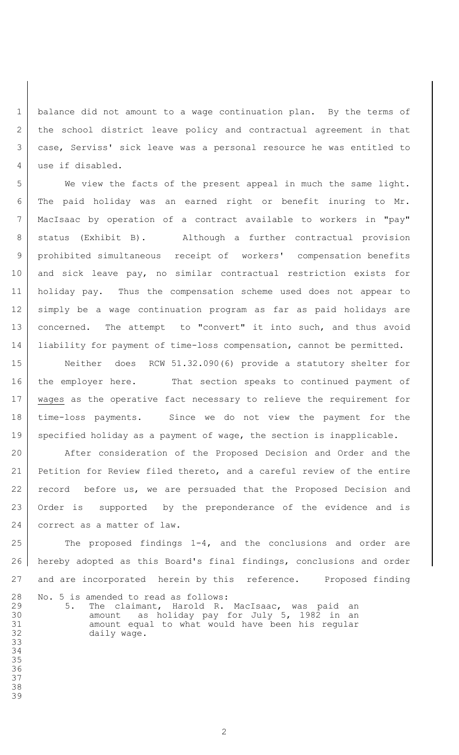1 | balance did not amount to a wage continuation plan. By the terms of 2 | the school district leave policy and contractual agreement in that case, Serviss' sick leave was a personal resource he was entitled to 4 use if disabled.

 We view the facts of the present appeal in much the same light. The paid holiday was an earned right or benefit inuring to Mr. MacIsaac by operation of a contract available to workers in "pay" status (Exhibit B). Although a further contractual provision prohibited simultaneous receipt of workers' compensation benefits and sick leave pay, no similar contractual restriction exists for holiday pay. Thus the compensation scheme used does not appear to simply be a wage continuation program as far as paid holidays are 13 | concerned. The attempt to "convert" it into such, and thus avoid liability for payment of time-loss compensation, cannot be permitted.

 Neither does RCW 51.32.090(6) provide a statutory shelter for the employer here. That section speaks to continued payment of wages as the operative fact necessary to relieve the requirement for time-loss payments. Since we do not view the payment for the 19 specified holiday as a payment of wage, the section is inapplicable.

20 After consideration of the Proposed Decision and Order and the Petition for Review filed thereto, and a careful review of the entire 22 record before us, we are persuaded that the Proposed Decision and Order is supported by the preponderance of the evidence and is 24 correct as a matter of law.

 The proposed findings  $1-4$ , and the conclusions and order are hereby adopted as this Board's final findings, conclusions and order and are incorporated herein by this reference. Proposed finding

 No. 5 is amended to read as follows: 29 5. The claimant, Harold R. MacIsaac, was paid an<br>30 6 amount as holiday pay for July 5, 1982 in an amount as holiday pay for July 5, 1982 in an amount equal to what would have been his regular daily wage.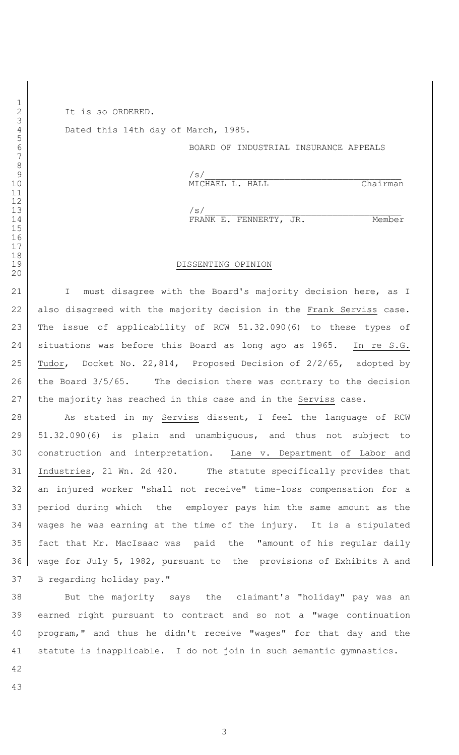It is so ORDERED.

 

 12<br>13

Dated this 14th day of March, 1985.

BOARD OF INDUSTRIAL INSURANCE APPEALS

 $/s/$ 9<br>10 MICHAEL L. HALL Chairman /s/

14 FRANK E. FENNERTY, JR. Member

#### DISSENTING OPINION

21 | I must disagree with the Board's majority decision here, as I 22 also disagreed with the majority decision in the Frank Serviss case. The issue of applicability of RCW 51.32.090(6) to these types of situations was before this Board as long ago as 1965. In re S.G. Tudor, Docket No. 22,814, Proposed Decision of 2/2/65, adopted by 26 the Board 3/5/65. The decision there was contrary to the decision 27 the majority has reached in this case and in the Serviss case.

28 As stated in my Serviss dissent, I feel the language of RCW 51.32.090(6) is plain and unambiguous, and thus not subject to construction and interpretation. Lane v. Department of Labor and Industries, 21 Wn. 2d 420. The statute specifically provides that an injured worker "shall not receive" time-loss compensation for a period during which the employer pays him the same amount as the wages he was earning at the time of the injury. It is a stipulated fact that Mr. MacIsaac was paid the "amount of his regular daily wage for July 5, 1982, pursuant to the provisions of Exhibits A and B regarding holiday pay."

 But the majority says the claimant's "holiday" pay was an earned right pursuant to contract and so not a "wage continuation program," and thus he didn't receive "wages" for that day and the statute is inapplicable. I do not join in such semantic gymnastics.

- 
-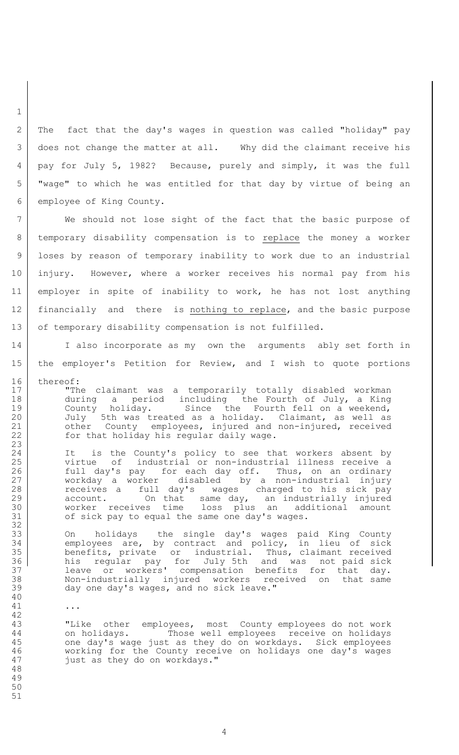The fact that the day's wages in question was called "holiday" pay does not change the matter at all. Why did the claimant receive his pay for July 5, 1982? Because, purely and simply, it was the full "wage" to which he was entitled for that day by virtue of being an employee of King County.

 We should not lose sight of the fact that the basic purpose of temporary disability compensation is to replace the money a worker loses by reason of temporary inability to work due to an industrial injury. However, where a worker receives his normal pay from his employer in spite of inability to work, he has not lost anything 12 | financially and there is nothing to replace, and the basic purpose 13 of temporary disability compensation is not fulfilled.

14 I also incorporate as my own the arguments ably set forth in the employer's Petition for Review, and I wish to quote portions 16 thereof:

17 | The claimant was a temporarily totally disabled workman during a period including the Fourth of July, a King 19 County holiday. Since the Fourth fell on a weekend, 20 July 5th was treated as a holiday. Claimant, as well as 21 other County employees, injured and non-injured, received 22 for that holiday his regular daily wage.

24 It is the County's policy to see that workers absent by virtue of industrial or non-industrial illness receive a 26 full day's pay for each day off. Thus, on an ordinary workday a worker disabled by a non-industrial injury 28 receives a full day's wages charged to his sick pay 29 account. On that same day, an industrially injured worker receives time loss plus an additional amount 31 of sick pay to equal the same one day's wages.

 On holidays the single day's wages paid King County employees are, by contract and policy, in lieu of sick benefits, private or industrial. Thus, claimant received his regular pay for July 5th and was not paid sick leave or workers' compensation benefits for that day. Non-industrially injured workers received on that same day one day's wages, and no sick leave."

...

 "Like other employees, most County employees do not work on holidays. Those well employees receive on holidays one day's wage just as they do on workdays. Sick employees working for the County receive on holidays one day's wages just as they do on workdays."